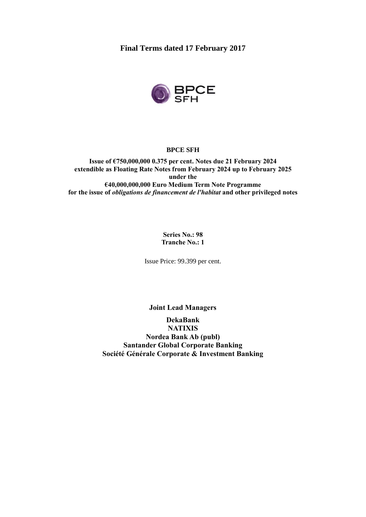**Final Terms dated 17 February 2017**



#### **BPCE SFH**

**Issue of €750,000,000 0.375 per cent. Notes due 21 February 2024 extendible as Floating Rate Notes from February 2024 up to February 2025 under the €40,000,000,000 Euro Medium Term Note Programme for the issue of** *obligations de financement de l'habitat* **and other privileged notes**

> **Series No.: 98 Tranche No.: 1**

Issue Price: 99.399 per cent.

**Joint Lead Managers**

**DekaBank NATIXIS Nordea Bank Ab (publ) Santander Global Corporate Banking Société Générale Corporate & Investment Banking**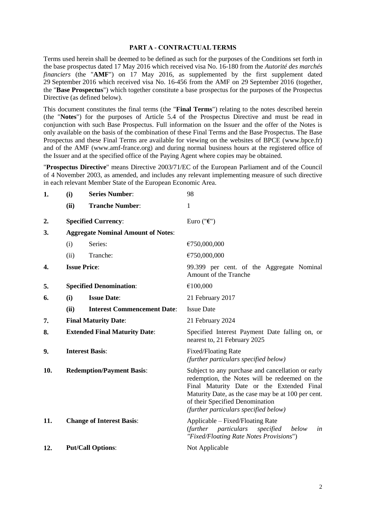#### **PART A - CONTRACTUAL TERMS**

Terms used herein shall be deemed to be defined as such for the purposes of the Conditions set forth in the base prospectus dated 17 May 2016 which received visa No. 16-180 from the *Autorité des marchés financiers* (the "**AMF**") on 17 May 2016, as supplemented by the first supplement dated 29 September 2016 which received visa No. 16-456 from the AMF on 29 September 2016 (together, the "**Base Prospectus**") which together constitute a base prospectus for the purposes of the Prospectus Directive (as defined below).

This document constitutes the final terms (the "**Final Terms**") relating to the notes described herein (the "**Notes**") for the purposes of Article 5.4 of the Prospectus Directive and must be read in conjunction with such Base Prospectus. Full information on the Issuer and the offer of the Notes is only available on the basis of the combination of these Final Terms and the Base Prospectus. The Base Prospectus and these Final Terms are available for viewing on the websites of BPCE (www.bpce.fr) and of the AMF (www.amf-france.org) and during normal business hours at the registered office of the Issuer and at the specified office of the Paying Agent where copies may be obtained.

"**Prospectus Directive**" means Directive 2003/71/EC of the European Parliament and of the Council of 4 November 2003, as amended, and includes any relevant implementing measure of such directive in each relevant Member State of the European Economic Area.

| 1.  | (i)                                  | <b>Series Number:</b>                     | 98                                                                                                                                                                                                                                                                                |  |
|-----|--------------------------------------|-------------------------------------------|-----------------------------------------------------------------------------------------------------------------------------------------------------------------------------------------------------------------------------------------------------------------------------------|--|
|     | (ii)                                 | <b>Tranche Number:</b>                    | 1                                                                                                                                                                                                                                                                                 |  |
| 2.  |                                      | <b>Specified Currency:</b>                | Euro (" $\epsilon$ ")                                                                                                                                                                                                                                                             |  |
| 3.  |                                      | <b>Aggregate Nominal Amount of Notes:</b> |                                                                                                                                                                                                                                                                                   |  |
|     | (i)                                  | Series:                                   | €750,000,000                                                                                                                                                                                                                                                                      |  |
|     | (ii)                                 | Tranche:                                  | €750,000,000                                                                                                                                                                                                                                                                      |  |
| 4.  |                                      | <b>Issue Price:</b>                       | 99.399 per cent. of the Aggregate Nominal<br>Amount of the Tranche                                                                                                                                                                                                                |  |
| 5.  |                                      | <b>Specified Denomination:</b>            | €100,000                                                                                                                                                                                                                                                                          |  |
| 6.  | (i)                                  | <b>Issue Date:</b>                        | 21 February 2017                                                                                                                                                                                                                                                                  |  |
|     | (ii)                                 | <b>Interest Commencement Date:</b>        | <b>Issue Date</b>                                                                                                                                                                                                                                                                 |  |
| 7.  | <b>Final Maturity Date:</b>          |                                           | 21 February 2024                                                                                                                                                                                                                                                                  |  |
| 8.  | <b>Extended Final Maturity Date:</b> |                                           | Specified Interest Payment Date falling on, or<br>nearest to, 21 February 2025                                                                                                                                                                                                    |  |
| 9.  | <b>Interest Basis:</b>               |                                           | Fixed/Floating Rate<br>(further particulars specified below)                                                                                                                                                                                                                      |  |
| 10. | <b>Redemption/Payment Basis:</b>     |                                           | Subject to any purchase and cancellation or early<br>redemption, the Notes will be redeemed on the<br>Final Maturity Date or the Extended Final<br>Maturity Date, as the case may be at 100 per cent.<br>of their Specified Denomination<br>(further particulars specified below) |  |
| 11. |                                      | <b>Change of Interest Basis:</b>          | Applicable - Fixed/Floating Rate<br>(further particulars)<br>specified<br>below<br>in<br>"Fixed/Floating Rate Notes Provisions")                                                                                                                                                  |  |
| 12. |                                      | <b>Put/Call Options:</b>                  | Not Applicable                                                                                                                                                                                                                                                                    |  |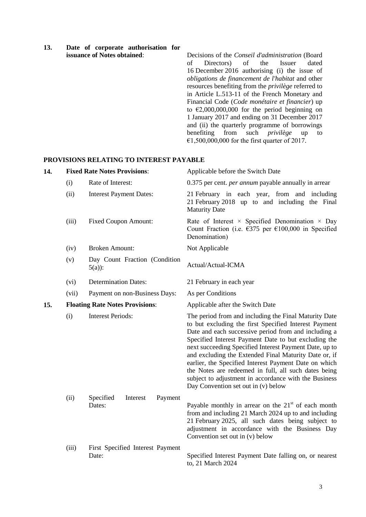| 13. |  |                                    | Date of corporate authorisation for |  |
|-----|--|------------------------------------|-------------------------------------|--|
|     |  | <b>issuance of Notes obtained:</b> |                                     |  |

**issuance of Notes obtained**: Decisions of the *Conseil d'administration* (Board of Directors) of the Issuer dated 16 December 2016 authorising (i) the issue of *obligations de financement de l'habitat* and other resources benefiting from the *privilège* referred to in Article L.513-11 of the French Monetary and Financial Code (*Code monétaire et financier*) up to  $\epsilon$ 2,000,000,000 for the period beginning on 1 January 2017 and ending on 31 December 2017 and (ii) the quarterly programme of borrowings benefiting from such *privilège* up to €1,500,000,000 for the first quarter of 2017.

## **PROVISIONS RELATING TO INTEREST PAYABLE**

| 14. |       | <b>Fixed Rate Notes Provisions:</b>        | Applicable before the Switch Date                                                                                                                                                                                                                                                                                                                                                                                                                                                                                                                                  |
|-----|-------|--------------------------------------------|--------------------------------------------------------------------------------------------------------------------------------------------------------------------------------------------------------------------------------------------------------------------------------------------------------------------------------------------------------------------------------------------------------------------------------------------------------------------------------------------------------------------------------------------------------------------|
|     | (i)   | Rate of Interest:                          | 0.375 per cent. <i>per annum</i> payable annually in arrear                                                                                                                                                                                                                                                                                                                                                                                                                                                                                                        |
|     | (ii)  | <b>Interest Payment Dates:</b>             | 21 February in each year, from and including<br>21 February 2018 up to and including the Final<br><b>Maturity Date</b>                                                                                                                                                                                                                                                                                                                                                                                                                                             |
|     | (iii) | <b>Fixed Coupon Amount:</b>                | Rate of Interest $\times$ Specified Denomination $\times$ Day<br>Count Fraction (i.e. $\epsilon$ 375 per $\epsilon$ 100,000 in Specified<br>Denomination)                                                                                                                                                                                                                                                                                                                                                                                                          |
|     | (iv)  | <b>Broken Amount:</b>                      | Not Applicable                                                                                                                                                                                                                                                                                                                                                                                                                                                                                                                                                     |
|     | (v)   | Day Count Fraction (Condition<br>$5(a)$ :  | Actual/Actual-ICMA                                                                                                                                                                                                                                                                                                                                                                                                                                                                                                                                                 |
|     | (vi)  | <b>Determination Dates:</b>                | 21 February in each year                                                                                                                                                                                                                                                                                                                                                                                                                                                                                                                                           |
|     | (vii) | Payment on non-Business Days:              | As per Conditions                                                                                                                                                                                                                                                                                                                                                                                                                                                                                                                                                  |
| 15. |       | <b>Floating Rate Notes Provisions:</b>     | Applicable after the Switch Date                                                                                                                                                                                                                                                                                                                                                                                                                                                                                                                                   |
|     | (i)   | <b>Interest Periods:</b>                   | The period from and including the Final Maturity Date<br>to but excluding the first Specified Interest Payment<br>Date and each successive period from and including a<br>Specified Interest Payment Date to but excluding the<br>next succeeding Specified Interest Payment Date, up to<br>and excluding the Extended Final Maturity Date or, if<br>earlier, the Specified Interest Payment Date on which<br>the Notes are redeemed in full, all such dates being<br>subject to adjustment in accordance with the Business<br>Day Convention set out in (v) below |
|     | (ii)  | Specified<br>Interest<br>Payment<br>Dates: | Payable monthly in arrear on the $21st$ of each month<br>from and including 21 March 2024 up to and including<br>21 February 2025, all such dates being subject to<br>adjustment in accordance with the Business Day<br>Convention set out in (v) below                                                                                                                                                                                                                                                                                                            |
|     | (iii) | First Specified Interest Payment<br>Date:  | Specified Interest Payment Date falling on, or nearest<br>to, 21 March 2024                                                                                                                                                                                                                                                                                                                                                                                                                                                                                        |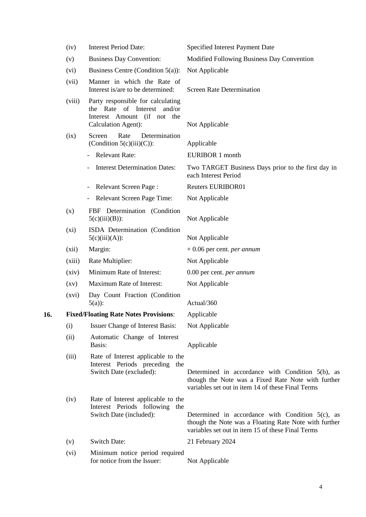|     | (iv)               | <b>Interest Period Date:</b>                                                                                           | Specified Interest Payment Date                                                                                                                                   |
|-----|--------------------|------------------------------------------------------------------------------------------------------------------------|-------------------------------------------------------------------------------------------------------------------------------------------------------------------|
|     | (v)                | <b>Business Day Convention:</b>                                                                                        | Modified Following Business Day Convention                                                                                                                        |
|     | (vi)               | Business Centre (Condition $5(a)$ ):                                                                                   | Not Applicable                                                                                                                                                    |
|     | (vii)              | Manner in which the Rate of<br>Interest is/are to be determined:                                                       | <b>Screen Rate Determination</b>                                                                                                                                  |
|     | (viii)             | Party responsible for calculating<br>the Rate of Interest and/or<br>Interest Amount (if not the<br>Calculation Agent): | Not Applicable                                                                                                                                                    |
|     | (ix)               | Rate<br>Screen<br>Determination<br>(Condition $5(c)(iii)(C)$ ):                                                        | Applicable                                                                                                                                                        |
|     |                    | <b>Relevant Rate:</b>                                                                                                  | <b>EURIBOR 1 month</b>                                                                                                                                            |
|     |                    | <b>Interest Determination Dates:</b>                                                                                   | Two TARGET Business Days prior to the first day in<br>each Interest Period                                                                                        |
|     |                    | Relevant Screen Page:                                                                                                  | <b>Reuters EURIBOR01</b>                                                                                                                                          |
|     |                    | Relevant Screen Page Time:<br>۰.                                                                                       | Not Applicable                                                                                                                                                    |
|     | (x)                | FBF Determination (Condition<br>$5(c)(iii)(B))$ :                                                                      | Not Applicable                                                                                                                                                    |
|     | $(x_i)$            | ISDA Determination (Condition<br>$5(c)(iii)(A))$ :                                                                     | Not Applicable                                                                                                                                                    |
|     | (xii)              | Margin:                                                                                                                | $+0.06$ per cent. <i>per annum</i>                                                                                                                                |
|     | (xiii)             | Rate Multiplier:                                                                                                       | Not Applicable                                                                                                                                                    |
|     | (xiv)              | Minimum Rate of Interest:                                                                                              | 0.00 per cent. <i>per annum</i>                                                                                                                                   |
|     | $\left( xy\right)$ | Maximum Rate of Interest:                                                                                              | Not Applicable                                                                                                                                                    |
|     | (xvi)              | Day Count Fraction (Condition<br>$5(a)$ :                                                                              | Actual/360                                                                                                                                                        |
| 16. |                    | <b>Fixed/Floating Rate Notes Provisions:</b>                                                                           | Applicable                                                                                                                                                        |
|     | (i)                | <b>Issuer Change of Interest Basis:</b>                                                                                | Not Applicable                                                                                                                                                    |
|     | (ii)               | Automatic Change of Interest<br>Basis:                                                                                 | Applicable                                                                                                                                                        |
|     | (iii)              | Rate of Interest applicable to the<br>Interest Periods preceding the<br>Switch Date (excluded):                        | Determined in accordance with Condition $5(b)$ , as<br>though the Note was a Fixed Rate Note with further<br>variables set out in item 14 of these Final Terms    |
|     | (iv)               | Rate of Interest applicable to the<br>Interest Periods following the<br>Switch Date (included):                        | Determined in accordance with Condition $5(c)$ , as<br>though the Note was a Floating Rate Note with further<br>variables set out in item 15 of these Final Terms |
|     | (v)                | <b>Switch Date:</b>                                                                                                    | 21 February 2024                                                                                                                                                  |
|     | (vi)               | Minimum notice period required<br>for notice from the Issuer:                                                          | Not Applicable                                                                                                                                                    |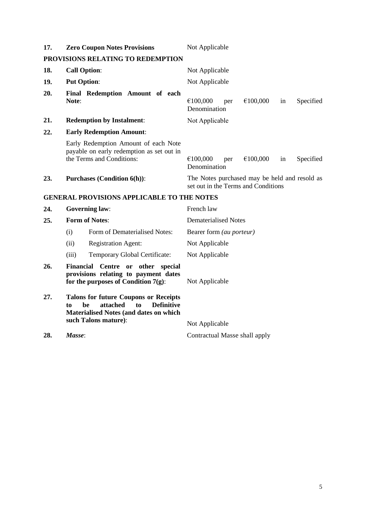| 17. | <b>Zero Coupon Notes Provisions</b>                                                                            | Not Applicable                                                                       |
|-----|----------------------------------------------------------------------------------------------------------------|--------------------------------------------------------------------------------------|
|     | PROVISIONS RELATING TO REDEMPTION                                                                              |                                                                                      |
| 18. | <b>Call Option:</b>                                                                                            | Not Applicable                                                                       |
| 19. | <b>Put Option:</b>                                                                                             | Not Applicable                                                                       |
| 20. | Final Redemption Amount of each<br>Note:                                                                       | €100,000<br>€100,000<br>Specified<br>in<br>per<br>Denomination                       |
| 21. | <b>Redemption by Instalment:</b>                                                                               | Not Applicable                                                                       |
| 22. | <b>Early Redemption Amount:</b>                                                                                |                                                                                      |
|     | Early Redemption Amount of each Note<br>payable on early redemption as set out in<br>the Terms and Conditions: | €100,000<br>in<br>€100,000<br>Specified<br>per<br>Denomination                       |
| 23. | <b>Purchases (Condition 6(h)):</b>                                                                             | The Notes purchased may be held and resold as<br>set out in the Terms and Conditions |

### **GENERAL PROVISIONS APPLICABLE TO THE NOTES**

| 24. | <b>Governing law:</b> |                                                                                                                                                                    | French law                      |
|-----|-----------------------|--------------------------------------------------------------------------------------------------------------------------------------------------------------------|---------------------------------|
| 25. | <b>Form of Notes:</b> |                                                                                                                                                                    | Dematerialised Notes            |
|     | (i)                   | Form of Dematerialised Notes:                                                                                                                                      | Bearer form <i>(au porteur)</i> |
|     | (ii)                  | <b>Registration Agent:</b>                                                                                                                                         | Not Applicable                  |
|     | (iii)                 | Temporary Global Certificate:                                                                                                                                      | Not Applicable                  |
| 26. |                       | Financial Centre or other<br>special<br>provisions relating to payment dates<br>for the purposes of Condition $7(g)$ :                                             | Not Applicable                  |
| 27. | to                    | <b>Talons for future Coupons or Receipts</b><br>attached<br><b>Definitive</b><br>to<br>be<br><b>Materialised Notes (and dates on which</b><br>such Talons mature): | Not Applicable                  |
| 28. | Masse:                |                                                                                                                                                                    | Contractual Masse shall apply   |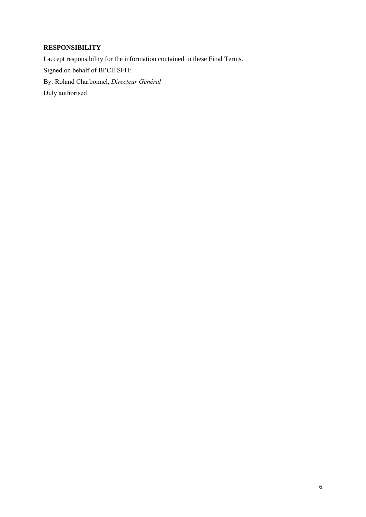# **RESPONSIBILITY**

I accept responsibility for the information contained in these Final Terms. Signed on behalf of BPCE SFH: By: Roland Charbonnel, *Directeur Général* Duly authorised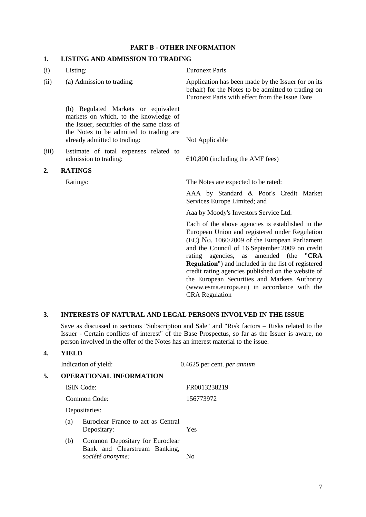### **PART B - OTHER INFORMATION**

### **1. LISTING AND ADMISSION TO TRADING**

| (i)   | Listing:                                                                                                                                                                                               | <b>Euronext Paris</b>                                                                                                                                                                                                                                         |
|-------|--------------------------------------------------------------------------------------------------------------------------------------------------------------------------------------------------------|---------------------------------------------------------------------------------------------------------------------------------------------------------------------------------------------------------------------------------------------------------------|
| (ii)  | (a) Admission to trading:                                                                                                                                                                              | Application has been made by the Issuer (or on its<br>behalf) for the Notes to be admitted to trading on<br>Euronext Paris with effect from the Issue Date                                                                                                    |
|       | (b) Regulated Markets or equivalent<br>markets on which, to the knowledge of<br>the Issuer, securities of the same class of<br>the Notes to be admitted to trading are<br>already admitted to trading: | Not Applicable                                                                                                                                                                                                                                                |
| (iii) | Estimate of total expenses related to<br>admission to trading:                                                                                                                                         | $£10,800$ (including the AMF fees)                                                                                                                                                                                                                            |
| 2.    | <b>RATINGS</b>                                                                                                                                                                                         |                                                                                                                                                                                                                                                               |
|       | Ratings:                                                                                                                                                                                               | The Notes are expected to be rated:                                                                                                                                                                                                                           |
|       |                                                                                                                                                                                                        | AAA by Standard & Poor's Credit Market<br>Services Europe Limited; and                                                                                                                                                                                        |
|       |                                                                                                                                                                                                        | Aaa by Moody's Investors Service Ltd.                                                                                                                                                                                                                         |
|       |                                                                                                                                                                                                        | Each of the above agencies is established in the<br>European Union and registered under Regulation<br>(EC) No. 1060/2009 of the European Parliament<br>and the Council of 16 September 2009 on credit<br>agencies,<br>amended<br>(the<br>"CRA<br>rating<br>as |

# **3. INTERESTS OF NATURAL AND LEGAL PERSONS INVOLVED IN THE ISSUE**

Save as discussed in sections "Subscription and Sale" and "Risk factors – Risks related to the Issuer - Certain conflicts of interest" of the Base Prospectus, so far as the Issuer is aware, no person involved in the offer of the Notes has an interest material to the issue.

CRA Regulation

**Regulation**") and included in the list of registered credit rating agencies published on the website of the European Securities and Markets Authority (www.esma.europa.eu) in accordance with the

### **4. YIELD**

|    |     | Indication of yield:                                                                 | 0.4625 per cent. per annum |  |
|----|-----|--------------------------------------------------------------------------------------|----------------------------|--|
| 5. |     | <b>OPERATIONAL INFORMATION</b>                                                       |                            |  |
|    |     | <b>ISIN</b> Code:                                                                    | FR0013238219               |  |
|    |     | Common Code:                                                                         | 156773972                  |  |
|    |     | Depositaries:                                                                        |                            |  |
|    | (a) | Euroclear France to act as Central<br>Depositary:                                    | Yes                        |  |
|    | (b) | Common Depositary for Euroclear<br>Bank and Clearstream Banking,<br>société anonyme: | No                         |  |